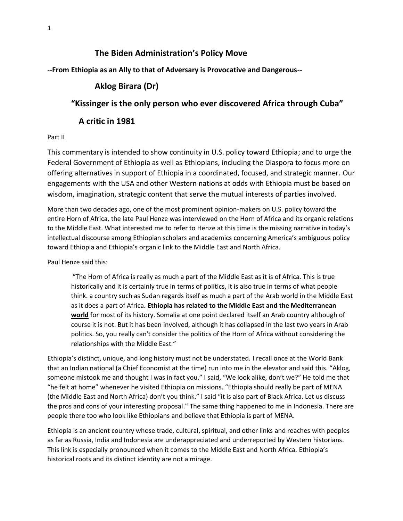# **The Biden Administration's Policy Move**

**--From Ethiopia as an Ally to that of Adversary is Provocative and Dangerous--**

# **Aklog Birara (Dr)**

# **"Kissinger is the only person who ever discovered Africa through Cuba"**

## **A critic in 1981**

### Part II

This commentary is intended to show continuity in U.S. policy toward Ethiopia; and to urge the Federal Government of Ethiopia as well as Ethiopians, including the Diaspora to focus more on offering alternatives in support of Ethiopia in a coordinated, focused, and strategic manner. Our engagements with the USA and other Western nations at odds with Ethiopia must be based on wisdom, imagination, strategic content that serve the mutual interests of parties involved.

More than two decades ago, one of the most prominent opinion-makers on U.S. policy toward the entire Horn of Africa, the late Paul Henze was interviewed on the Horn of Africa and its organic relations to the Middle East. What interested me to refer to Henze at this time is the missing narrative in today's intellectual discourse among Ethiopian scholars and academics concerning America's ambiguous policy toward Ethiopia and Ethiopia's organic link to the Middle East and North Africa.

Paul Henze said this:

"The Horn of Africa is really as much a part of the Middle East as it is of Africa. This is true historically and it is certainly true in terms of politics, it is also true in terms of what people think. a country such as Sudan regards itself as much a part of the Arab world in the Middle East as it does a part of Africa. **Ethiopia has related to the Middle East and the Mediterranean world** for most of its history. Somalia at one point declared itself an Arab country although of course it is not. But it has been involved, although it has collapsed in the last two years in Arab politics. So, you really can't consider the politics of the Horn of Africa without considering the relationships with the Middle East."

Ethiopia's distinct, unique, and long history must not be understated. I recall once at the World Bank that an Indian national (a Chief Economist at the time) run into me in the elevator and said this. "Aklog, someone mistook me and thought I was in fact you." I said, "We look alike, don't we?" He told me that "he felt at home" whenever he visited Ethiopia on missions. "Ethiopia should really be part of MENA (the Middle East and North Africa) don't you think." I said "it is also part of Black Africa. Let us discuss the pros and cons of your interesting proposal." The same thing happened to me in Indonesia. There are people there too who look like Ethiopians and believe that Ethiopia is part of MENA.

Ethiopia is an ancient country whose trade, cultural, spiritual, and other links and reaches with peoples as far as Russia, India and Indonesia are underappreciated and underreported by Western historians. This link is especially pronounced when it comes to the Middle East and North Africa. Ethiopia's historical roots and its distinct identity are not a mirage.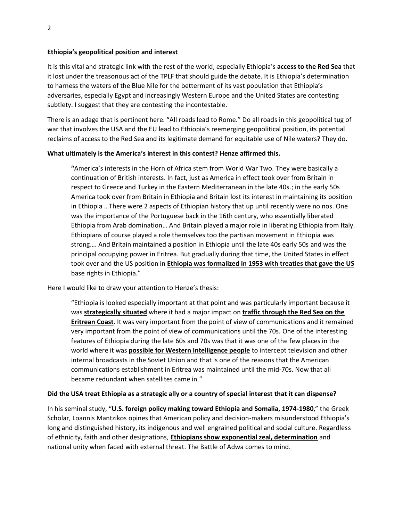#### **Ethiopia's geopolitical position and interest**

It is this vital and strategic link with the rest of the world, especially Ethiopia's **access to the Red Sea** that it lost under the treasonous act of the TPLF that should guide the debate. It is Ethiopia's determination to harness the waters of the Blue Nile for the betterment of its vast population that Ethiopia's adversaries, especially Egypt and increasingly Western Europe and the United States are contesting subtlety. I suggest that they are contesting the incontestable.

There is an adage that is pertinent here. "All roads lead to Rome." Do all roads in this geopolitical tug of war that involves the USA and the EU lead to Ethiopia's reemerging geopolitical position, its potential reclaims of access to the Red Sea and its legitimate demand for equitable use of Nile waters? They do.

### **What ultimately is the America's interest in this contest? Henze affirmed this.**

**"**America's interests in the Horn of Africa stem from World War Two. They were basically a continuation of British interests. In fact, just as America in effect took over from Britain in respect to Greece and Turkey in the Eastern Mediterranean in the late 40s.; in the early 50s America took over from Britain in Ethiopia and Britain lost its interest in maintaining its position in Ethiopia …There were 2 aspects of Ethiopian history that up until recently were no nos. One was the importance of the Portuguese back in the 16th century, who essentially liberated Ethiopia from Arab domination… And Britain played a major role in liberating Ethiopia from Italy. Ethiopians of course played a role themselves too the partisan movement in Ethiopia was strong…. And Britain maintained a position in Ethiopia until the late 40s early 50s and was the principal occupying power in Eritrea. But gradually during that time, the United States in effect took over and the US position in **Ethiopia was formalized in 1953 with treaties that gave the US** base rights in Ethiopia."

Here I would like to draw your attention to Henze's thesis:

"Ethiopia is looked especially important at that point and was particularly important because it was **strategically situated** where it had a major impact on **traffic through the Red Sea on the Eritrean Coast**. It was very important from the point of view of communications and it remained very important from the point of view of communications until the 70s. One of the interesting features of Ethiopia during the late 60s and 70s was that it was one of the few places in the world where it was **possible for Western Intelligence people** to intercept television and other internal broadcasts in the Soviet Union and that is one of the reasons that the American communications establishment in Eritrea was maintained until the mid-70s. Now that all became redundant when satellites came in."

#### **Did the USA treat Ethiopia as a strategic ally or a country of special interest that it can dispense?**

In his seminal study, "**U.S. foreign policy making toward Ethiopia and Somalia, 1974-1980**," the Greek Scholar, Loannis Mantzikos opines that American policy and decision-makers misunderstood Ethiopia's long and distinguished history, its indigenous and well engrained political and social culture. Regardless of ethnicity, faith and other designations, **Ethiopians show exponential zeal, determination** and national unity when faced with external threat. The Battle of Adwa comes to mind.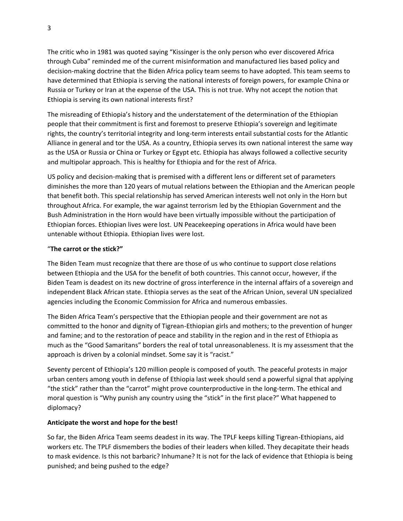The critic who in 1981 was quoted saying "Kissinger is the only person who ever discovered Africa through Cuba" reminded me of the current misinformation and manufactured lies based policy and decision-making doctrine that the Biden Africa policy team seems to have adopted. This team seems to have determined that Ethiopia is serving the national interests of foreign powers, for example China or Russia or Turkey or Iran at the expense of the USA. This is not true. Why not accept the notion that Ethiopia is serving its own national interests first?

The misreading of Ethiopia's history and the understatement of the determination of the Ethiopian people that their commitment is first and foremost to preserve Ethiopia's sovereign and legitimate rights, the country's territorial integrity and long-term interests entail substantial costs for the Atlantic Alliance in general and tor the USA. As a country, Ethiopia serves its own national interest the same way as the USA or Russia or China or Turkey or Egypt etc. Ethiopia has always followed a collective security and multipolar approach. This is healthy for Ethiopia and for the rest of Africa.

US policy and decision-making that is premised with a different lens or different set of parameters diminishes the more than 120 years of mutual relations between the Ethiopian and the American people that benefit both. This special relationship has served American interests well not only in the Horn but throughout Africa. For example, the war against terrorism led by the Ethiopian Government and the Bush Administration in the Horn would have been virtually impossible without the participation of Ethiopian forces. Ethiopian lives were lost. UN Peacekeeping operations in Africa would have been untenable without Ethiopia. Ethiopian lives were lost.

### "**The carrot or the stick?"**

The Biden Team must recognize that there are those of us who continue to support close relations between Ethiopia and the USA for the benefit of both countries. This cannot occur, however, if the Biden Team is deadest on its new doctrine of gross interference in the internal affairs of a sovereign and independent Black African state. Ethiopia serves as the seat of the African Union, several UN specialized agencies including the Economic Commission for Africa and numerous embassies.

The Biden Africa Team's perspective that the Ethiopian people and their government are not as committed to the honor and dignity of Tigrean-Ethiopian girls and mothers; to the prevention of hunger and famine; and to the restoration of peace and stability in the region and in the rest of Ethiopia as much as the "Good Samaritans" borders the real of total unreasonableness. It is my assessment that the approach is driven by a colonial mindset. Some say it is "racist."

Seventy percent of Ethiopia's 120 million people is composed of youth. The peaceful protests in major urban centers among youth in defense of Ethiopia last week should send a powerful signal that applying "the stick" rather than the "carrot" might prove counterproductive in the long-term. The ethical and moral question is "Why punish any country using the "stick" in the first place?" What happened to diplomacy?

## **Anticipate the worst and hope for the best!**

So far, the Biden Africa Team seems deadest in its way. The TPLF keeps killing Tigrean-Ethiopians, aid workers etc. The TPLF dismembers the bodies of their leaders when killed. They decapitate their heads to mask evidence. Is this not barbaric? Inhumane? It is not for the lack of evidence that Ethiopia is being punished; and being pushed to the edge?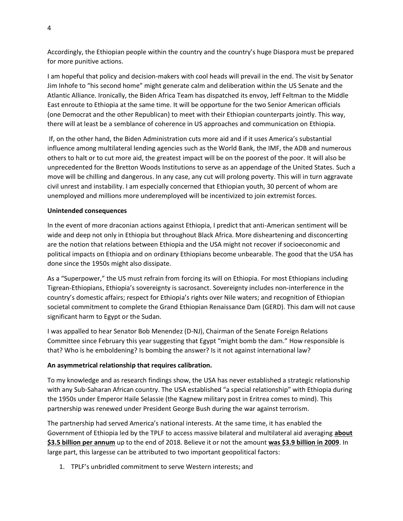Accordingly, the Ethiopian people within the country and the country's huge Diaspora must be prepared for more punitive actions.

I am hopeful that policy and decision-makers with cool heads will prevail in the end. The visit by Senator Jim Inhofe to "his second home" might generate calm and deliberation within the US Senate and the Atlantic Alliance. Ironically, the Biden Africa Team has dispatched its envoy, Jeff Feltman to the Middle East enroute to Ethiopia at the same time. It will be opportune for the two Senior American officials (one Democrat and the other Republican) to meet with their Ethiopian counterparts jointly. This way, there will at least be a semblance of coherence in US approaches and communication on Ethiopia.

If, on the other hand, the Biden Administration cuts more aid and if it uses America's substantial influence among multilateral lending agencies such as the World Bank, the IMF, the ADB and numerous others to halt or to cut more aid, the greatest impact will be on the poorest of the poor. It will also be unprecedented for the Bretton Woods Institutions to serve as an appendage of the United States. Such a move will be chilling and dangerous. In any case, any cut will prolong poverty. This will in turn aggravate civil unrest and instability. I am especially concerned that Ethiopian youth, 30 percent of whom are unemployed and millions more underemployed will be incentivized to join extremist forces.

#### **Unintended consequences**

In the event of more draconian actions against Ethiopia, I predict that anti-American sentiment will be wide and deep not only in Ethiopia but throughout Black Africa. More disheartening and disconcerting are the notion that relations between Ethiopia and the USA might not recover if socioeconomic and political impacts on Ethiopia and on ordinary Ethiopians become unbearable. The good that the USA has done since the 1950s might also dissipate.

As a "Superpower," the US must refrain from forcing its will on Ethiopia. For most Ethiopians including Tigrean-Ethiopians, Ethiopia's sovereignty is sacrosanct. Sovereignty includes non-interference in the country's domestic affairs; respect for Ethiopia's rights over Nile waters; and recognition of Ethiopian societal commitment to complete the Grand Ethiopian Renaissance Dam (GERD). This dam will not cause significant harm to Egypt or the Sudan.

I was appalled to hear Senator Bob Menendez (D-NJ), Chairman of the Senate Foreign Relations Committee since February this year suggesting that Egypt "might bomb the dam." How responsible is that? Who is he emboldening? Is bombing the answer? Is it not against international law?

### **An asymmetrical relationship that requires calibration.**

To my knowledge and as research findings show, the USA has never established a strategic relationship with any Sub-Saharan African country. The USA established "a special relationship" with Ethiopia during the 1950s under Emperor Haile Selassie (the Kagnew military post in Eritrea comes to mind). This partnership was renewed under President George Bush during the war against terrorism.

The partnership had served America's national interests. At the same time, it has enabled the Government of Ethiopia led by the TPLF to access massive bilateral and multilateral aid averaging **about \$3.5 billion per annum** up to the end of 2018. Believe it or not the amount **was \$3.9 billion in 2009**. In large part, this largesse can be attributed to two important geopolitical factors:

1. TPLF's unbridled commitment to serve Western interests; and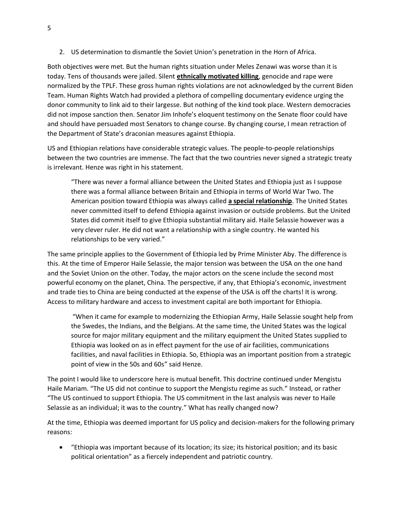2. US determination to dismantle the Soviet Union's penetration in the Horn of Africa.

Both objectives were met. But the human rights situation under Meles Zenawi was worse than it is today. Tens of thousands were jailed. Silent **ethnically motivated killing**, genocide and rape were normalized by the TPLF. These gross human rights violations are not acknowledged by the current Biden Team. Human Rights Watch had provided a plethora of compelling documentary evidence urging the donor community to link aid to their largesse. But nothing of the kind took place. Western democracies did not impose sanction then. Senator Jim Inhofe's eloquent testimony on the Senate floor could have and should have persuaded most Senators to change course. By changing course, I mean retraction of the Department of State's draconian measures against Ethiopia.

US and Ethiopian relations have considerable strategic values. The people-to-people relationships between the two countries are immense. The fact that the two countries never signed a strategic treaty is irrelevant. Henze was right in his statement.

"There was never a formal alliance between the United States and Ethiopia just as I suppose there was a formal alliance between Britain and Ethiopia in terms of World War Two. The American position toward Ethiopia was always called **a special relationship**. The United States never committed itself to defend Ethiopia against invasion or outside problems. But the United States did commit itself to give Ethiopia substantial military aid. Haile Selassie however was a very clever ruler. He did not want a relationship with a single country. He wanted his relationships to be very varied."

The same principle applies to the Government of Ethiopia led by Prime Minister Aby. The difference is this. At the time of Emperor Haile Selassie, the major tension was between the USA on the one hand and the Soviet Union on the other. Today, the major actors on the scene include the second most powerful economy on the planet, China. The perspective, if any, that Ethiopia's economic, investment and trade ties to China are being conducted at the expense of the USA is off the charts! It is wrong. Access to military hardware and access to investment capital are both important for Ethiopia.

"When it came for example to modernizing the Ethiopian Army, Haile Selassie sought help from the Swedes, the Indians, and the Belgians. At the same time, the United States was the logical source for major military equipment and the military equipment the United States supplied to Ethiopia was looked on as in effect payment for the use of air facilities, communications facilities, and naval facilities in Ethiopia. So, Ethiopia was an important position from a strategic point of view in the 50s and 60s" said Henze.

The point I would like to underscore here is mutual benefit. This doctrine continued under Mengistu Haile Mariam. "The US did not continue to support the Mengistu regime as such." Instead, or rather "The US continued to support Ethiopia. The US commitment in the last analysis was never to Haile Selassie as an individual; it was to the country." What has really changed now?

At the time, Ethiopia was deemed important for US policy and decision-makers for the following primary reasons:

• "Ethiopia was important because of its location; its size; its historical position; and its basic political orientation" as a fiercely independent and patriotic country.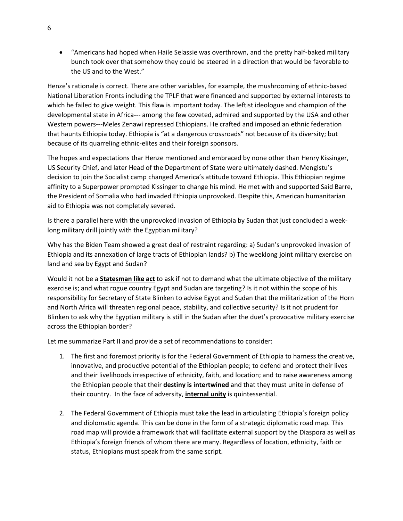• "Americans had hoped when Haile Selassie was overthrown, and the pretty half-baked military bunch took over that somehow they could be steered in a direction that would be favorable to the US and to the West."

Henze's rationale is correct. There are other variables, for example, the mushrooming of ethnic-based National Liberation Fronts including the TPLF that were financed and supported by external interests to which he failed to give weight. This flaw is important today. The leftist ideologue and champion of the developmental state in Africa--- among the few coveted, admired and supported by the USA and other Western powers---Meles Zenawi repressed Ethiopians. He crafted and imposed an ethnic federation that haunts Ethiopia today. Ethiopia is "at a dangerous crossroads" not because of its diversity; but because of its quarreling ethnic-elites and their foreign sponsors.

The hopes and expectations thar Henze mentioned and embraced by none other than Henry Kissinger, US Security Chief, and later Head of the Department of State were ultimately dashed. Mengistu's decision to join the Socialist camp changed America's attitude toward Ethiopia. This Ethiopian regime affinity to a Superpower prompted Kissinger to change his mind. He met with and supported Said Barre, the President of Somalia who had invaded Ethiopia unprovoked. Despite this, American humanitarian aid to Ethiopia was not completely severed.

Is there a parallel here with the unprovoked invasion of Ethiopia by Sudan that just concluded a weeklong military drill jointly with the Egyptian military?

Why has the Biden Team showed a great deal of restraint regarding: a) Sudan's unprovoked invasion of Ethiopia and its annexation of large tracts of Ethiopian lands? b) The weeklong joint military exercise on land and sea by Egypt and Sudan?

Would it not be a **Statesman like act** to ask if not to demand what the ultimate objective of the military exercise is; and what rogue country Egypt and Sudan are targeting? Is it not within the scope of his responsibility for Secretary of State Blinken to advise Egypt and Sudan that the militarization of the Horn and North Africa will threaten regional peace, stability, and collective security? Is it not prudent for Blinken to ask why the Egyptian military is still in the Sudan after the duet's provocative military exercise across the Ethiopian border?

Let me summarize Part II and provide a set of recommendations to consider:

- 1. The first and foremost priority is for the Federal Government of Ethiopia to harness the creative, innovative, and productive potential of the Ethiopian people; to defend and protect their lives and their livelihoods irrespective of ethnicity, faith, and location; and to raise awareness among the Ethiopian people that their **destiny is intertwined** and that they must unite in defense of their country. In the face of adversity, **internal unity** is quintessential.
- 2. The Federal Government of Ethiopia must take the lead in articulating Ethiopia's foreign policy and diplomatic agenda. This can be done in the form of a strategic diplomatic road map. This road map will provide a framework that will facilitate external support by the Diaspora as well as Ethiopia's foreign friends of whom there are many. Regardless of location, ethnicity, faith or status, Ethiopians must speak from the same script.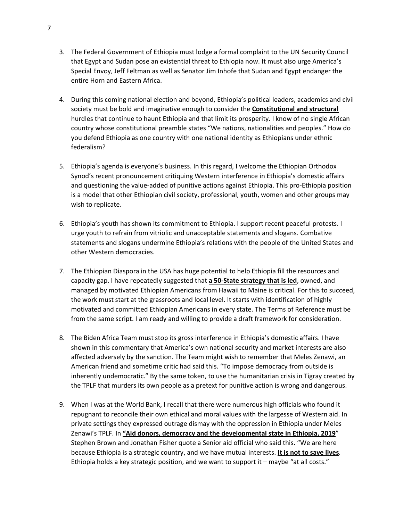- 3. The Federal Government of Ethiopia must lodge a formal complaint to the UN Security Council that Egypt and Sudan pose an existential threat to Ethiopia now. It must also urge America's Special Envoy, Jeff Feltman as well as Senator Jim Inhofe that Sudan and Egypt endanger the entire Horn and Eastern Africa.
- 4. During this coming national election and beyond, Ethiopia's political leaders, academics and civil society must be bold and imaginative enough to consider the **Constitutional and structural** hurdles that continue to haunt Ethiopia and that limit its prosperity. I know of no single African country whose constitutional preamble states "We nations, nationalities and peoples." How do you defend Ethiopia as one country with one national identity as Ethiopians under ethnic federalism?
- 5. Ethiopia's agenda is everyone's business. In this regard, I welcome the Ethiopian Orthodox Synod's recent pronouncement critiquing Western interference in Ethiopia's domestic affairs and questioning the value-added of punitive actions against Ethiopia. This pro-Ethiopia position is a model that other Ethiopian civil society, professional, youth, women and other groups may wish to replicate.
- 6. Ethiopia's youth has shown its commitment to Ethiopia. I support recent peaceful protests. I urge youth to refrain from vitriolic and unacceptable statements and slogans. Combative statements and slogans undermine Ethiopia's relations with the people of the United States and other Western democracies.
- 7. The Ethiopian Diaspora in the USA has huge potential to help Ethiopia fill the resources and capacity gap. I have repeatedly suggested that **a 50-State strategy that is led**, owned, and managed by motivated Ethiopian Americans from Hawaii to Maine is critical. For this to succeed, the work must start at the grassroots and local level. It starts with identification of highly motivated and committed Ethiopian Americans in every state. The Terms of Reference must be from the same script. I am ready and willing to provide a draft framework for consideration.
- 8. The Biden Africa Team must stop its gross interference in Ethiopia's domestic affairs. I have shown in this commentary that America's own national security and market interests are also affected adversely by the sanction. The Team might wish to remember that Meles Zenawi, an American friend and sometime critic had said this. "To impose democracy from outside is inherently undemocratic." By the same token, to use the humanitarian crisis in Tigray created by the TPLF that murders its own people as a pretext for punitive action is wrong and dangerous.
- 9. When I was at the World Bank, I recall that there were numerous high officials who found it repugnant to reconcile their own ethical and moral values with the largesse of Western aid. In private settings they expressed outrage dismay with the oppression in Ethiopia under Meles Zenawi's TPLF. In **"Aid donors, democracy and the developmental state in Ethiopia, 2019**" Stephen Brown and Jonathan Fisher quote a Senior aid official who said this. "We are here because Ethiopia is a strategic country, and we have mutual interests. **It is not to save lives**. Ethiopia holds a key strategic position, and we want to support it – maybe "at all costs."